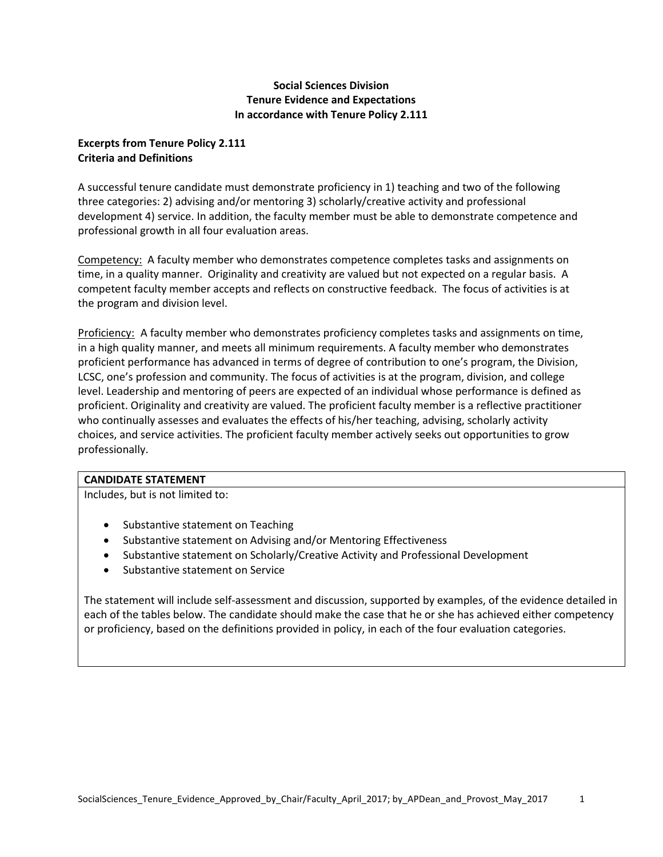# **Social Sciences Division Tenure Evidence and Expectations In accordance with Tenure Policy 2.111**

# **Excerpts from Tenure Policy 2.111 Criteria and Definitions**

A successful tenure candidate must demonstrate proficiency in 1) teaching and two of the following three categories: 2) advising and/or mentoring 3) scholarly/creative activity and professional development 4) service. In addition, the faculty member must be able to demonstrate competence and professional growth in all four evaluation areas.

Competency: A faculty member who demonstrates competence completes tasks and assignments on time, in a quality manner. Originality and creativity are valued but not expected on a regular basis. A competent faculty member accepts and reflects on constructive feedback. The focus of activities is at the program and division level.

Proficiency: A faculty member who demonstrates proficiency completes tasks and assignments on time, in a high quality manner, and meets all minimum requirements. A faculty member who demonstrates proficient performance has advanced in terms of degree of contribution to one's program, the Division, LCSC, one's profession and community. The focus of activities is at the program, division, and college level. Leadership and mentoring of peers are expected of an individual whose performance is defined as proficient. Originality and creativity are valued. The proficient faculty member is a reflective practitioner who continually assesses and evaluates the effects of his/her teaching, advising, scholarly activity choices, and service activities. The proficient faculty member actively seeks out opportunities to grow professionally.

## **CANDIDATE STATEMENT**

Includes, but is not limited to:

- Substantive statement on Teaching
- Substantive statement on Advising and/or Mentoring Effectiveness
- Substantive statement on Scholarly/Creative Activity and Professional Development
- Substantive statement on Service

The statement will include self-assessment and discussion, supported by examples, of the evidence detailed in each of the tables below. The candidate should make the case that he or she has achieved either competency or proficiency, based on the definitions provided in policy, in each of the four evaluation categories.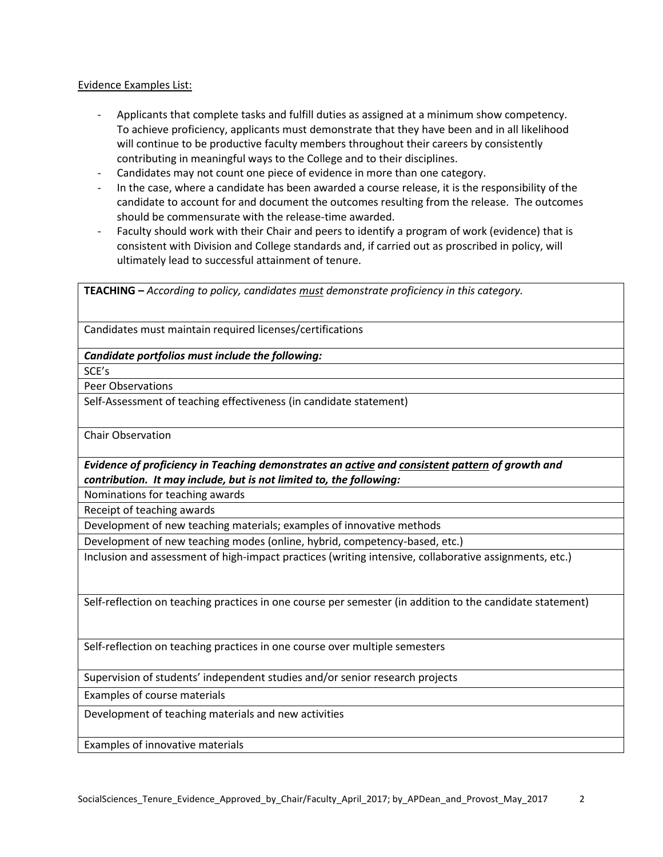Evidence Examples List:

- Applicants that complete tasks and fulfill duties as assigned at a minimum show competency. To achieve proficiency, applicants must demonstrate that they have been and in all likelihood will continue to be productive faculty members throughout their careers by consistently contributing in meaningful ways to the College and to their disciplines.
- Candidates may not count one piece of evidence in more than one category.
- In the case, where a candidate has been awarded a course release, it is the responsibility of the candidate to account for and document the outcomes resulting from the release. The outcomes should be commensurate with the release-time awarded.
- Faculty should work with their Chair and peers to identify a program of work (evidence) that is consistent with Division and College standards and, if carried out as proscribed in policy, will ultimately lead to successful attainment of tenure.

| <b>TEACHING</b> - According to policy, candidates must demonstrate proficiency in this category.                                                                       |
|------------------------------------------------------------------------------------------------------------------------------------------------------------------------|
| Candidates must maintain required licenses/certifications                                                                                                              |
| Candidate portfolios must include the following:                                                                                                                       |
| SCE's                                                                                                                                                                  |
| <b>Peer Observations</b>                                                                                                                                               |
| Self-Assessment of teaching effectiveness (in candidate statement)                                                                                                     |
| <b>Chair Observation</b>                                                                                                                                               |
| Evidence of proficiency in Teaching demonstrates an active and consistent pattern of growth and<br>contribution. It may include, but is not limited to, the following: |
| Nominations for teaching awards                                                                                                                                        |
| Receipt of teaching awards                                                                                                                                             |
| Development of new teaching materials; examples of innovative methods                                                                                                  |
| Development of new teaching modes (online, hybrid, competency-based, etc.)                                                                                             |
| Inclusion and assessment of high-impact practices (writing intensive, collaborative assignments, etc.)                                                                 |
| Self-reflection on teaching practices in one course per semester (in addition to the candidate statement)                                                              |
| Self-reflection on teaching practices in one course over multiple semesters                                                                                            |
| Supervision of students' independent studies and/or senior research projects                                                                                           |
| Examples of course materials                                                                                                                                           |
| Development of teaching materials and new activities                                                                                                                   |
| Examples of innovative materials                                                                                                                                       |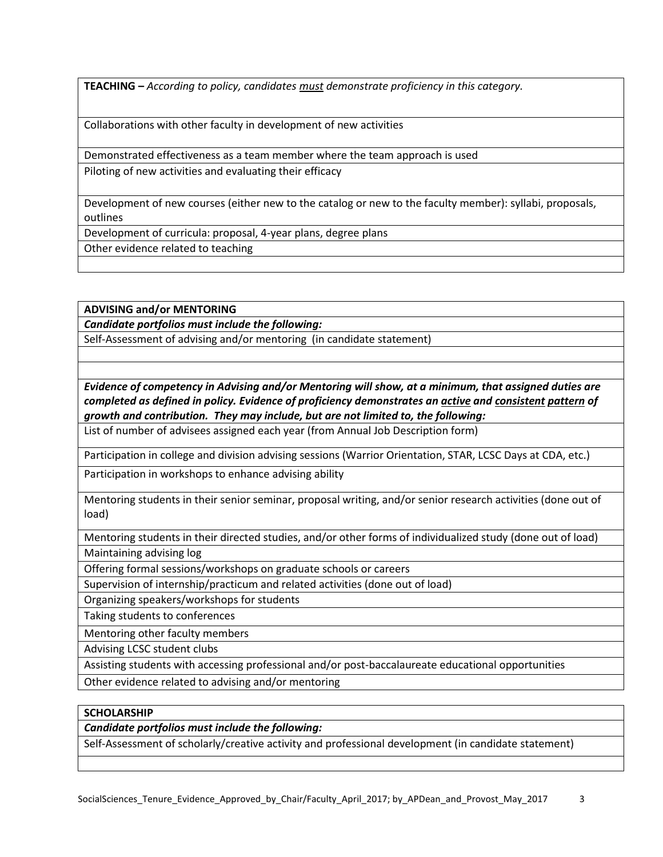**TEACHING –** *According to policy, candidates must demonstrate proficiency in this category.*

Collaborations with other faculty in development of new activities

Demonstrated effectiveness as a team member where the team approach is used

Piloting of new activities and evaluating their efficacy

Development of new courses (either new to the catalog or new to the faculty member): syllabi, proposals, outlines

Development of curricula: proposal, 4-year plans, degree plans

Other evidence related to teaching

**ADVISING and/or MENTORING**

*Candidate portfolios must include the following:*

Self-Assessment of advising and/or mentoring (in candidate statement)

*Evidence of competency in Advising and/or Mentoring will show, at a minimum, that assigned duties are completed as defined in policy. Evidence of proficiency demonstrates an active and consistent pattern of growth and contribution. They may include, but are not limited to, the following:*

List of number of advisees assigned each year (from Annual Job Description form)

Participation in college and division advising sessions (Warrior Orientation, STAR, LCSC Days at CDA, etc.)

Participation in workshops to enhance advising ability

Mentoring students in their senior seminar, proposal writing, and/or senior research activities (done out of load)

Mentoring students in their directed studies, and/or other forms of individualized study (done out of load) Maintaining advising log

Offering formal sessions/workshops on graduate schools or careers

Supervision of internship/practicum and related activities (done out of load)

Organizing speakers/workshops for students

Taking students to conferences

Mentoring other faculty members

Advising LCSC student clubs

Assisting students with accessing professional and/or post-baccalaureate educational opportunities

Other evidence related to advising and/or mentoring

## **SCHOLARSHIP**

*Candidate portfolios must include the following:*

Self-Assessment of scholarly/creative activity and professional development (in candidate statement)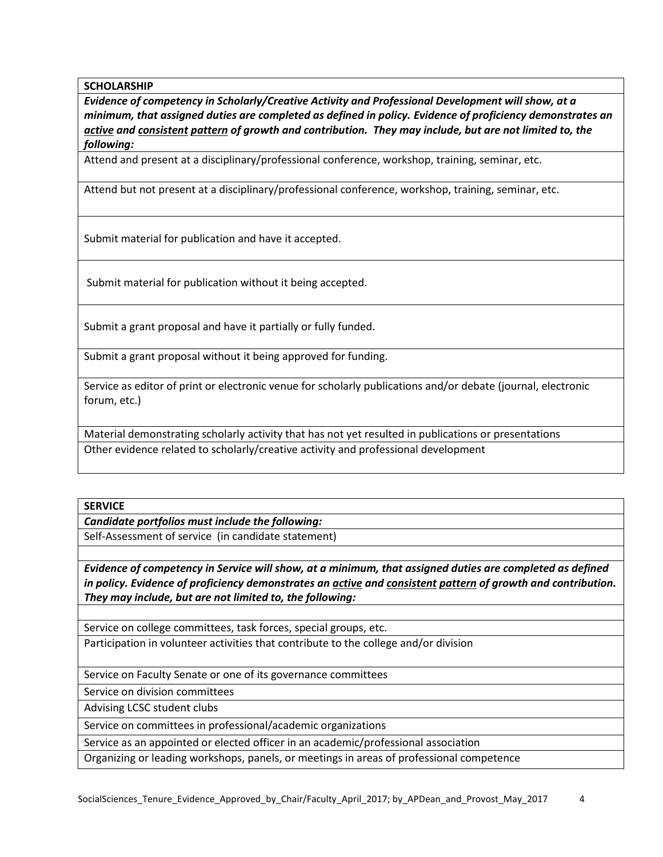**SCHOLARSHIP**

*Evidence of competency in Scholarly/Creative Activity and Professional Development will show, at a minimum, that assigned duties are completed as defined in policy. Evidence of proficiency demonstrates an active and consistent pattern of growth and contribution. They may include, but are not limited to, the following:*

Attend and present at a disciplinary/professional conference, workshop, training, seminar, etc.

Attend but not present at a disciplinary/professional conference, workshop, training, seminar, etc.

Submit material for publication and have it accepted.

Submit material for publication without it being accepted.

Submit a grant proposal and have it partially or fully funded.

Submit a grant proposal without it being approved for funding.

Service as editor of print or electronic venue for scholarly publications and/or debate (journal, electronic forum, etc.)

Material demonstrating scholarly activity that has not yet resulted in publications or presentations Other evidence related to scholarly/creative activity and professional development

#### **SERVICE**

*Candidate portfolios must include the following:*

Self-Assessment of service (in candidate statement)

*Evidence of competency in Service will show, at a minimum, that assigned duties are completed as defined in policy. Evidence of proficiency demonstrates an active and consistent pattern of growth and contribution. They may include, but are not limited to, the following:*

Service on college committees, task forces, special groups, etc.

Participation in volunteer activities that contribute to the college and/or division

Service on Faculty Senate or one of its governance committees

Service on division committees

Advising LCSC student clubs

Service on committees in professional/academic organizations

Service as an appointed or elected officer in an academic/professional association

Organizing or leading workshops, panels, or meetings in areas of professional competence